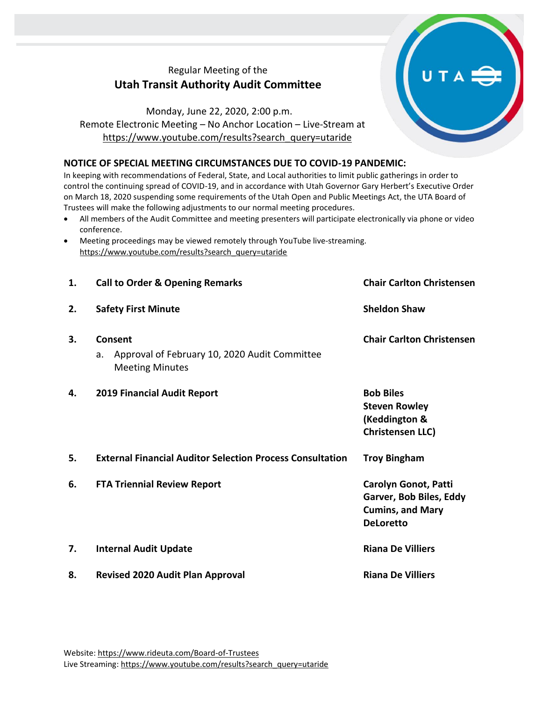## Regular Meeting of the **Utah Transit Authority Audit Committee**

## Monday, June 22, 2020, 2:00 p.m. Remote Electronic Meeting – No Anchor Location – Live-Stream at [https://www.youtube.com/results?search\\_query=utaride](https://www.youtube.com/results?search_query=utaride)

## **NOTICE OF SPECIAL MEETING CIRCUMSTANCES DUE TO COVID-19 PANDEMIC:**

In keeping with recommendations of Federal, State, and Local authorities to limit public gatherings in order to control the continuing spread of COVID-19, and in accordance with Utah Governor Gary Herbert's Executive Order on March 18, 2020 suspending some requirements of the Utah Open and Public Meetings Act, the UTA Board of Trustees will make the following adjustments to our normal meeting procedures.

- All members of the Audit Committee and meeting presenters will participate electronically via phone or video conference.
- Meeting proceedings may be viewed remotely through YouTube live-streaming. [https://www.youtube.com/results?search\\_query=utaride](https://www.youtube.com/results?search_query=utaride)

| 1. | <b>Call to Order &amp; Opening Remarks</b>                                               | <b>Chair Carlton Christensen</b>                                                                      |
|----|------------------------------------------------------------------------------------------|-------------------------------------------------------------------------------------------------------|
| 2. | <b>Safety First Minute</b>                                                               | <b>Sheldon Shaw</b>                                                                                   |
| 3. | Consent<br>Approval of February 10, 2020 Audit Committee<br>a.<br><b>Meeting Minutes</b> | <b>Chair Carlton Christensen</b>                                                                      |
| 4. | <b>2019 Financial Audit Report</b>                                                       | <b>Bob Biles</b><br><b>Steven Rowley</b><br>(Keddington &<br><b>Christensen LLC)</b>                  |
| 5. | <b>External Financial Auditor Selection Process Consultation</b>                         | <b>Troy Bingham</b>                                                                                   |
| 6. | <b>FTA Triennial Review Report</b>                                                       | <b>Carolyn Gonot, Patti</b><br>Garver, Bob Biles, Eddy<br><b>Cumins, and Mary</b><br><b>DeLoretto</b> |
| 7. | <b>Internal Audit Update</b>                                                             | <b>Riana De Villiers</b>                                                                              |
| 8. | <b>Revised 2020 Audit Plan Approval</b>                                                  | <b>Riana De Villiers</b>                                                                              |